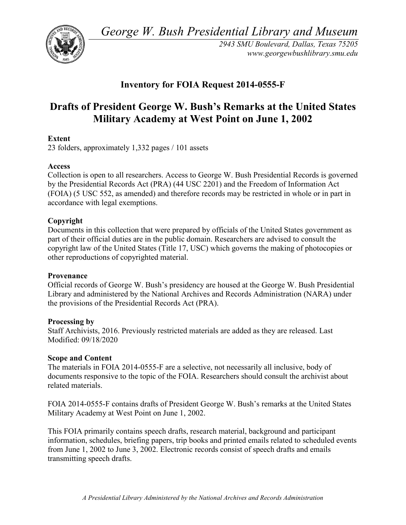*George W. Bush Presidential Library and Museum* 



 *2943 SMU Boulevard, Dallas, Texas 75205 <www.georgewbushlibrary.smu.edu>*

## **Inventory for FOIA Request 2014-0555-F**

# **Drafts of President George W. Bush's Remarks at the United States Military Academy at West Point on June 1, 2002**

## **Extent**

23 folders, approximately 1,332 pages / 101 assets

## **Access**

 by the Presidential Records Act (PRA) (44 USC 2201) and the Freedom of Information Act Collection is open to all researchers. Access to George W. Bush Presidential Records is governed (FOIA) (5 USC 552, as amended) and therefore records may be restricted in whole or in part in accordance with legal exemptions.

## **Copyright**

 Documents in this collection that were prepared by officials of the United States government as part of their official duties are in the public domain. Researchers are advised to consult the copyright law of the United States (Title 17, USC) which governs the making of photocopies or other reproductions of copyrighted material.

#### **Provenance**

 Official records of George W. Bush's presidency are housed at the George W. Bush Presidential Library and administered by the National Archives and Records Administration (NARA) under the provisions of the Presidential Records Act (PRA).

#### **Processing by**

 Modified: 09/18/2020 Staff Archivists, 2016. Previously restricted materials are added as they are released. Last

#### **Scope and Content**

The materials in FOIA 2014-0555-F are a selective, not necessarily all inclusive, body of documents responsive to the topic of the FOIA. Researchers should consult the archivist about related materials.

FOIA 2014-0555-F contains drafts of President George W. Bush's remarks at the United States Military Academy at West Point on June 1, 2002.

 from June 1, 2002 to June 3, 2002. Electronic records consist of speech drafts and emails This FOIA primarily contains speech drafts, research material, background and participant information, schedules, briefing papers, trip books and printed emails related to scheduled events transmitting speech drafts.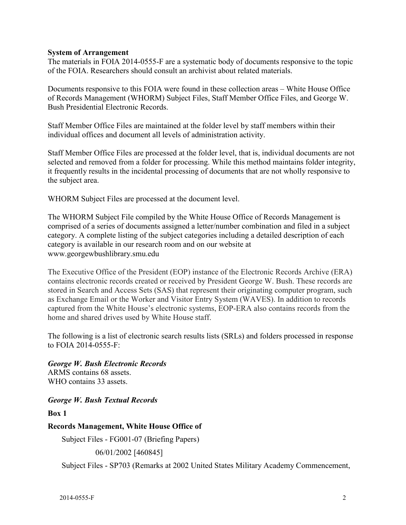### **System of Arrangement**

The materials in FOIA 2014-0555-F are a systematic body of documents responsive to the topic of the FOIA. Researchers should consult an archivist about related materials.

Documents responsive to this FOIA were found in these collection areas – White House Office of Records Management (WHORM) Subject Files, Staff Member Office Files, and George W. Bush Presidential Electronic Records.

Staff Member Office Files are maintained at the folder level by staff members within their individual offices and document all levels of administration activity.

Staff Member Office Files are processed at the folder level, that is, individual documents are not selected and removed from a folder for processing. While this method maintains folder integrity, it frequently results in the incidental processing of documents that are not wholly responsive to the subject area.

WHORM Subject Files are processed at the document level.

The WHORM Subject File compiled by the White House Office of Records Management is comprised of a series of documents assigned a letter/number combination and filed in a subject category. A complete listing of the subject categories including a detailed description of each category is available in our research room and on our website at <www.georgewbushlibrary.smu.edu>

The Executive Office of the President (EOP) instance of the Electronic Records Archive (ERA) contains electronic records created or received by President George W. Bush. These records are stored in Search and Access Sets (SAS) that represent their originating computer program, such as Exchange Email or the Worker and Visitor Entry System (WAVES). In addition to records captured from the White House's electronic systems, EOP-ERA also contains records from the home and shared drives used by White House staff.

 The following is a list of electronic search results lists (SRLs) and folders processed in response to FOIA 2014-0555-F:

*George W. Bush Electronic Records*  ARMS contains 68 assets. WHO contains 33 assets.

*George W. Bush Textual Records* 

**Box 1** 

**Records Management, White House Office of** 

Subject Files - FG001-07 (Briefing Papers)

06/01/2002 [460845]

Subject Files - SP703 (Remarks at 2002 United States Military Academy Commencement,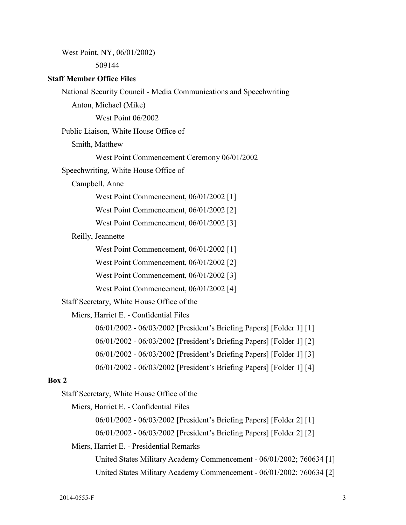West Point, NY, 06/01/2002)

509144

#### **Staff Member Office Files**

National Security Council - Media Communications and Speechwriting

Anton, Michael (Mike)

West Point 06/2002

Public Liaison, White House Office of

Smith, Matthew

West Point Commencement Ceremony 06/01/2002

Speechwriting, White House Office of

Campbell, Anne

West Point Commencement, 06/01/2002 [1]

West Point Commencement, 06/01/2002 [2]

West Point Commencement, 06/01/2002 [3]

Reilly, Jeannette

West Point Commencement, 06/01/2002 [1]

West Point Commencement, 06/01/2002 [2]

West Point Commencement, 06/01/2002 [3]

West Point Commencement, 06/01/2002 [4]

Staff Secretary, White House Office of the

Miers, Harriet E. - Confidential Files

06/01/2002 - 06/03/2002 [President's Briefing Papers] [Folder 1] [1]

06/01/2002 - 06/03/2002 [President's Briefing Papers] [Folder 1] [2]

06/01/2002 - 06/03/2002 [President's Briefing Papers] [Folder 1] [3]

06/01/2002 - 06/03/2002 [President's Briefing Papers] [Folder 1] [4]

#### **Box 2**

Staff Secretary, White House Office of the

Miers, Harriet E. - Confidential Files

06/01/2002 - 06/03/2002 [President's Briefing Papers] [Folder 2] [1]

06/01/2002 - 06/03/2002 [President's Briefing Papers] [Folder 2] [2]

#### Miers, Harriet E. - Presidential Remarks

United States Military Academy Commencement - 06/01/2002; 760634 [1] United States Military Academy Commencement - 06/01/2002; 760634 [2]